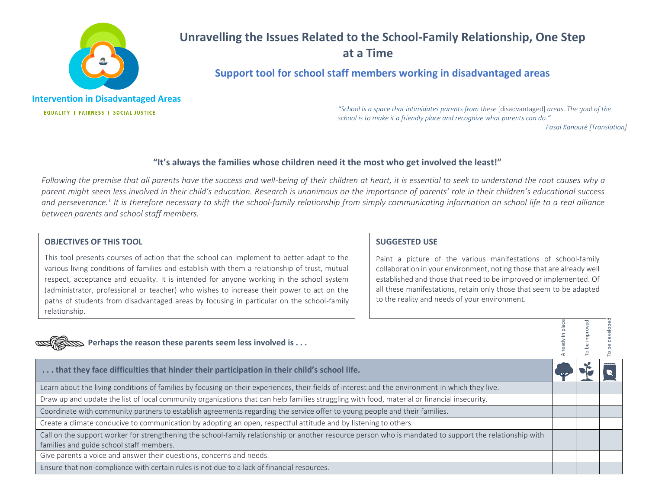

# **Unravelling the Issues Related to the School-Family Relationship, One Step at a Time**

# **Support tool for school staff members working in disadvantaged areas**

**Intervention in Disadvantaged Areas EQUALITY I FAIRNESS I SOCIAL JUSTICE** 

*"School is a space that intimidates parents from these* [disadvantaged] *areas*. *The goal of the school is to make it a friendly place and recognize what parents can do."*

*Fasal Kanouté [Translation]*

# **"It's always the families whose children need it the most who get involved the least!"**

*Following the premise that all parents have the success and well-being of their children at heart, it is essential to seek to understand the root causes why a parent might seem less involved in their child's education. Research is unanimous on the importance of parents' role in their children's educational success and perseverance.<sup>1</sup> It is therefore necessary to shift the school-family relationship from simply communicating information on school life to a real alliance between parents and school staff members.* 

#### **OBJECTIVES OF THIS TOOL**

This tool presents courses of action that the school can implement to better adapt to the various living conditions of families and establish with them a relationship of trust, mutual respect, acceptance and equality. It is intended for anyone working in the school system (administrator, professional or teacher) who wishes to increase their power to act on the paths of students from disadvantaged areas by focusing in particular on the school-family relationship.

# **SUGGESTED USE**

Paint a picture of the various manifestations of school-family collaboration in your environment, noting those that are already well established and those that need to be improved or implemented. Of all these manifestations, retain only those that seem to be adapted to the reality and needs of your environment.

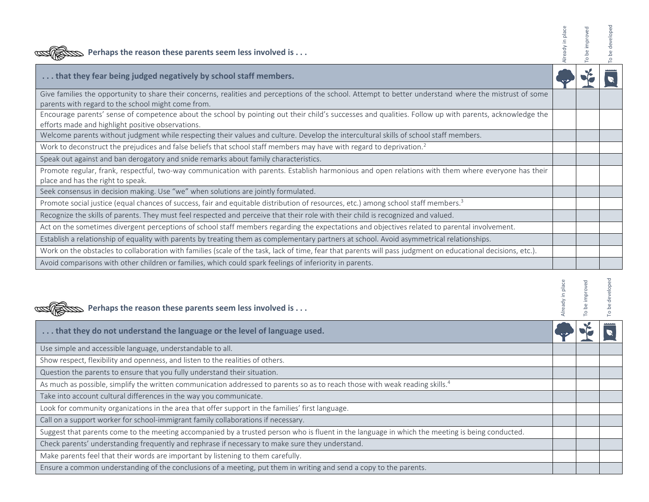| Perhaps the reason these parents seem less involved is                                                                                                                                                        | be improve<br>o. | developed |
|---------------------------------------------------------------------------------------------------------------------------------------------------------------------------------------------------------------|------------------|-----------|
| that they fear being judged negatively by school staff members.                                                                                                                                               |                  |           |
| Give families the opportunity to share their concerns, realities and perceptions of the school. Attempt to better understand where the mistrust of some<br>parents with regard to the school might come from. |                  |           |
| Encourage parents' sense of competence about the school by pointing out their child's successes and qualities. Follow up with parents, acknowledge the<br>efforts made and highlight positive observations.   |                  |           |
| Welcome parents without judgment while respecting their values and culture. Develop the intercultural skills of school staff members.                                                                         |                  |           |
| Work to deconstruct the prejudices and false beliefs that school staff members may have with regard to deprivation. <sup>2</sup>                                                                              |                  |           |
| Speak out against and ban derogatory and snide remarks about family characteristics.                                                                                                                          |                  |           |
| Promote regular, frank, respectful, two-way communication with parents. Establish harmonious and open relations with them where everyone has their<br>place and has the right to speak.                       |                  |           |
| Seek consensus in decision making. Use "we" when solutions are jointly formulated.                                                                                                                            |                  |           |
| Promote social justice (equal chances of success, fair and equitable distribution of resources, etc.) among school staff members. <sup>3</sup>                                                                |                  |           |
| Recognize the skills of parents. They must feel respected and perceive that their role with their child is recognized and valued.                                                                             |                  |           |
| Act on the sometimes divergent perceptions of school staff members regarding the expectations and objectives related to parental involvement.                                                                 |                  |           |
| Establish a relationship of equality with parents by treating them as complementary partners at school. Avoid asymmetrical relationships.                                                                     |                  |           |
| Work on the obstacles to collaboration with families (scale of the task, lack of time, fear that parents will pass judgment on educational decisions, etc.).                                                  |                  |           |
| Avoid comparisons with other children or families, which could spark feelings of inferiority in parents.                                                                                                      |                  |           |

| Perhaps the reason these parents seem less involved is                                                                                          | be impr<br>P | velope<br>å<br>$\circ$ |
|-------------------------------------------------------------------------------------------------------------------------------------------------|--------------|------------------------|
| that they do not understand the language or the level of language used.                                                                         |              |                        |
| Use simple and accessible language, understandable to all.                                                                                      |              |                        |
| Show respect, flexibility and openness, and listen to the realities of others.                                                                  |              |                        |
| Question the parents to ensure that you fully understand their situation.                                                                       |              |                        |
| As much as possible, simplify the written communication addressed to parents so as to reach those with weak reading skills. <sup>4</sup>        |              |                        |
| Take into account cultural differences in the way you communicate.                                                                              |              |                        |
| Look for community organizations in the area that offer support in the families' first language.                                                |              |                        |
| Call on a support worker for school-immigrant family collaborations if necessary.                                                               |              |                        |
| Suggest that parents come to the meeting accompanied by a trusted person who is fluent in the language in which the meeting is being conducted. |              |                        |
| Check parents' understanding frequently and rephrase if necessary to make sure they understand.                                                 |              |                        |
| Make parents feel that their words are important by listening to them carefully.                                                                |              |                        |
| Ensure a common understanding of the conclusions of a meeting, put them in writing and send a copy to the parents.                              |              |                        |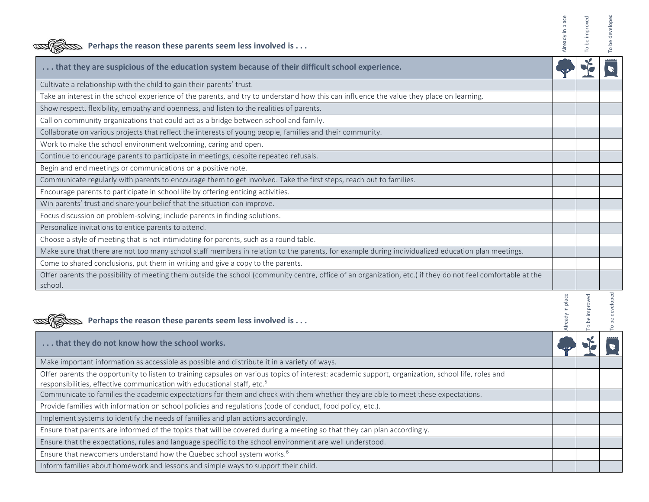| Solution Perhaps the reason these parents seem less involved is                                                                                                        | eady in place    |          | be developed    |
|------------------------------------------------------------------------------------------------------------------------------------------------------------------------|------------------|----------|-----------------|
| that they are suspicious of the education system because of their difficult school experience.                                                                         |                  |          |                 |
| Cultivate a relationship with the child to gain their parents' trust.                                                                                                  |                  |          |                 |
| Take an interest in the school experience of the parents, and try to understand how this can influence the value they place on learning.                               |                  |          |                 |
| Show respect, flexibility, empathy and openness, and listen to the realities of parents.                                                                               |                  |          |                 |
| Call on community organizations that could act as a bridge between school and family.                                                                                  |                  |          |                 |
| Collaborate on various projects that reflect the interests of young people, families and their community.                                                              |                  |          |                 |
| Work to make the school environment welcoming, caring and open.                                                                                                        |                  |          |                 |
| Continue to encourage parents to participate in meetings, despite repeated refusals.                                                                                   |                  |          |                 |
| Begin and end meetings or communications on a positive note.                                                                                                           |                  |          |                 |
| Communicate regularly with parents to encourage them to get involved. Take the first steps, reach out to families.                                                     |                  |          |                 |
| Encourage parents to participate in school life by offering enticing activities.                                                                                       |                  |          |                 |
| Win parents' trust and share your belief that the situation can improve.                                                                                               |                  |          |                 |
| Focus discussion on problem-solving; include parents in finding solutions.                                                                                             |                  |          |                 |
| Personalize invitations to entice parents to attend.                                                                                                                   |                  |          |                 |
| Choose a style of meeting that is not intimidating for parents, such as a round table.                                                                                 |                  |          |                 |
| Make sure that there are not too many school staff members in relation to the parents, for example during individualized education plan meetings.                      |                  |          |                 |
| Come to shared conclusions, put them in writing and give a copy to the parents.                                                                                        |                  |          |                 |
| Offer parents the possibility of meeting them outside the school (community centre, office of an organization, etc.) if they do not feel comfortable at the<br>school. |                  |          |                 |
| $\mathbf{D}$ Perhaps the reason these parents seem less involved is                                                                                                    | Already in place | improved | To be developed |
| that they do not know how the school works.                                                                                                                            |                  |          |                 |
| Make important information as accessible as possible and distribute it in a variety of ways.                                                                           |                  |          |                 |
| Offer parents the opportunity to listen to training capsules on various topics of interest: academic support, organization, school life, roles and                     |                  |          |                 |
| responsibilities, effective communication with educational staff, etc. <sup>5</sup>                                                                                    |                  |          |                 |
| Communicate to families the academic expectations for them and check with them whether they are able to meet these expectations.                                       |                  |          |                 |
| Provide families with information on school policies and regulations (code of conduct, food policy, etc.).                                                             |                  |          |                 |
| Implement systems to identify the needs of families and plan actions accordingly.                                                                                      |                  |          |                 |
| Ensure that parents are informed of the topics that will be covered during a meeting so that they can plan accordingly.                                                |                  |          |                 |
| Ensure that the expectations, rules and language specific to the school environment are well understood.                                                               |                  |          |                 |
| Ensure that newcomers understand how the Québec school system works. <sup>6</sup>                                                                                      |                  |          |                 |

Inform families about homework and lessons and simple ways to support their child.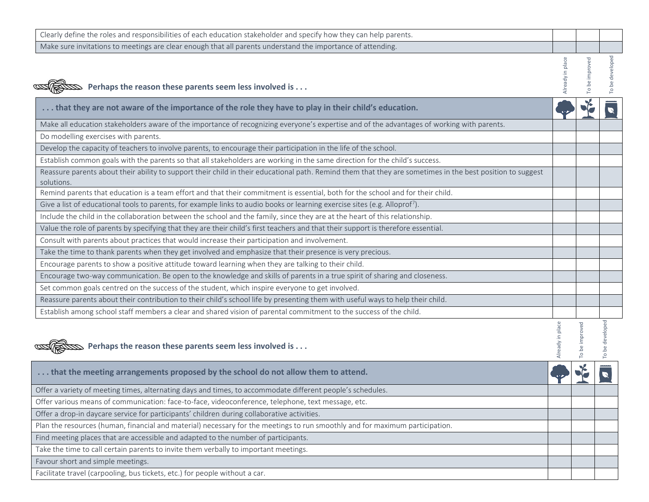| Clearly define the roles and responsibilities of each education stakeholder and specify how they can help parents.                                                       |                  |                |                 |
|--------------------------------------------------------------------------------------------------------------------------------------------------------------------------|------------------|----------------|-----------------|
| Make sure invitations to meetings are clear enough that all parents understand the importance of attending.                                                              |                  |                |                 |
| Somewhere Perhaps the reason these parents seem less involved is                                                                                                         | Already in place | To be improved | To be developed |
| that they are not aware of the importance of the role they have to play in their child's education.                                                                      |                  |                |                 |
| Make all education stakeholders aware of the importance of recognizing everyone's expertise and of the advantages of working with parents.                               |                  |                |                 |
| Do modelling exercises with parents.                                                                                                                                     |                  |                |                 |
| Develop the capacity of teachers to involve parents, to encourage their participation in the life of the school.                                                         |                  |                |                 |
| Establish common goals with the parents so that all stakeholders are working in the same direction for the child's success.                                              |                  |                |                 |
| Reassure parents about their ability to support their child in their educational path. Remind them that they are sometimes in the best position to suggest<br>solutions. |                  |                |                 |
| Remind parents that education is a team effort and that their commitment is essential, both for the school and for their child.                                          |                  |                |                 |
| Give a list of educational tools to parents, for example links to audio books or learning exercise sites (e.g. Alloprof7).                                               |                  |                |                 |
| Include the child in the collaboration between the school and the family, since they are at the heart of this relationship.                                              |                  |                |                 |
| Value the role of parents by specifying that they are their child's first teachers and that their support is therefore essential.                                        |                  |                |                 |
| Consult with parents about practices that would increase their participation and involvement.                                                                            |                  |                |                 |
| Take the time to thank parents when they get involved and emphasize that their presence is very precious.                                                                |                  |                |                 |
| Encourage parents to show a positive attitude toward learning when they are talking to their child.                                                                      |                  |                |                 |
| Encourage two-way communication. Be open to the knowledge and skills of parents in a true spirit of sharing and closeness.                                               |                  |                |                 |
| Set common goals centred on the success of the student, which inspire everyone to get involved.                                                                          |                  |                |                 |
| Reassure parents about their contribution to their child's school life by presenting them with useful ways to help their child.                                          |                  |                |                 |
| Establish among school staff members a clear and shared vision of parental commitment to the success of the child.                                                       |                  |                |                 |
| $\mathbb S$ Perhaps the reason these parents seem less involved is                                                                                                       | Already in place | To be improved | To be developed |
| that the meeting arrangements proposed by the school do not allow them to attend.                                                                                        |                  |                |                 |
| Offer a variety of meeting times, alternating days and times, to accommodate different people's schedules.                                                               |                  |                |                 |
| Offer various means of communication: face-to-face, videoconference, telephone, text message, etc.                                                                       |                  |                |                 |
| Offer a drop-in daycare service for participants' children during collaborative activities.                                                                              |                  |                |                 |
| Plan the resources (human, financial and material) necessary for the meetings to run smoothly and for maximum participation.                                             |                  |                |                 |
| Find meeting places that are accessible and adapted to the number of participants.                                                                                       |                  |                |                 |
| Take the time to call certain parents to invite them verbally to important meetings.                                                                                     |                  |                |                 |
| Favour short and simple meetings.                                                                                                                                        |                  |                |                 |
| Facilitate travel (carpooling, bus tickets, etc.) for people without a car.                                                                                              |                  |                |                 |